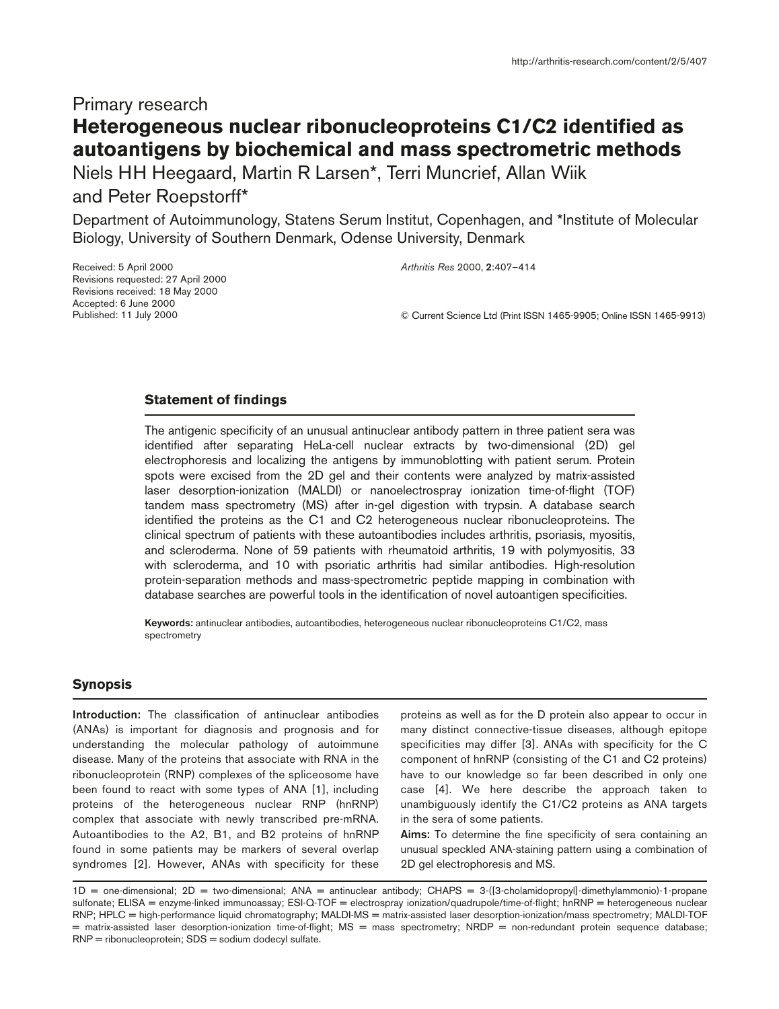# Primary research **Heterogeneous nuclear ribonucleoproteins C1/C2 identified as autoantigens by biochemical and mass spectrometric methods**

Niels HH Heegaard, Martin R Larsen\*, Terri Muncrief, Allan Wiik and Peter Roepstorff\*

Department of Autoimmunology, Statens Serum Institut, Copenhagen, and \*Institute of Molecular Biology, University of Southern Denmark, Odense University, Denmark

Received: 5 April 2000 Revisions requested: 27 April 2000 Revisions received: 18 May 2000 Accepted: 6 June 2000 Published: 11 July 2000

*Arthritis Res* 2000, **2**:407–414

© Current Science Ltd (Print ISSN 1465-9905; Online ISSN 1465-9913)

## **Statement of findings**

The antigenic specificity of an unusual antinuclear antibody pattern in three patient sera was identified after separating HeLa-cell nuclear extracts by two-dimensional (2D) gel electrophoresis and localizing the antigens by immunoblotting with patient serum. Protein spots were excised from the 2D gel and their contents were analyzed by matrix-assisted laser desorption-ionization (MALDI) or nanoelectrospray ionization time-of-flight (TOF) tandem mass spectrometry (MS) after in-gel digestion with trypsin. A database search identified the proteins as the C1 and C2 heterogeneous nuclear ribonucleoproteins. The clinical spectrum of patients with these autoantibodies includes arthritis, psoriasis, myositis, and scleroderma. None of 59 patients with rheumatoid arthritis, 19 with polymyositis, 33 with scleroderma, and 10 with psoriatic arthritis had similar antibodies. High-resolution protein-separation methods and mass-spectrometric peptide mapping in combination with database searches are powerful tools in the identification of novel autoantigen specificities.

**Keywords:** antinuclear antibodies, autoantibodies, heterogeneous nuclear ribonucleoproteins C1/C2, mass spectrometry

# **Synopsis**

**Introduction:** The classification of antinuclear antibodies (ANAs) is important for diagnosis and prognosis and for understanding the molecular pathology of autoimmune disease. Many of the proteins that associate with RNA in the ribonucleoprotein (RNP) complexes of the spliceosome have been found to react with some types of ANA [1], including proteins of the heterogeneous nuclear RNP (hnRNP) complex that associate with newly transcribed pre-mRNA. Autoantibodies to the A2, B1, and B2 proteins of hnRNP found in some patients may be markers of several overlap syndromes [2]. However, ANAs with specificity for these

proteins as well as for the D protein also appear to occur in many distinct connective-tissue diseases, although epitope specificities may differ [3]. ANAs with specificity for the C component of hnRNP (consisting of the C1 and C2 proteins) have to our knowledge so far been described in only one case [4]. We here describe the approach taken to unambiguously identify the C1/C2 proteins as ANA targets in the sera of some patients.

**Aims:** To determine the fine specificity of sera containing an unusual speckled ANA-staining pattern using a combination of 2D gel electrophoresis and MS.

 $1D =$  one-dimensional;  $2D =$  two-dimensional;  $ANA =$  antinuclear antibody;  $CHAPS = 3$ -([3-cholamidopropyl]-dimethylammonio)-1-propane sulfonate; ELISA = enzyme-linked immunoassay; ESI-Q-TOF = electrospray ionization/quadrupole/time-of-flight; hnRNP = heterogeneous nuclear RNP; HPLC = high-performance liquid chromatography; MALDI-MS = matrix-assisted laser desorption-ionization/mass spectrometry; MALDI-TOF = matrix-assisted laser desorption-ionization time-of-flight; MS = mass spectrometry; NRDP = non-redundant protein sequence database;  $RNP = ribonucleoprotein$ ;  $SDS = sodium dodecyl$  sulfate.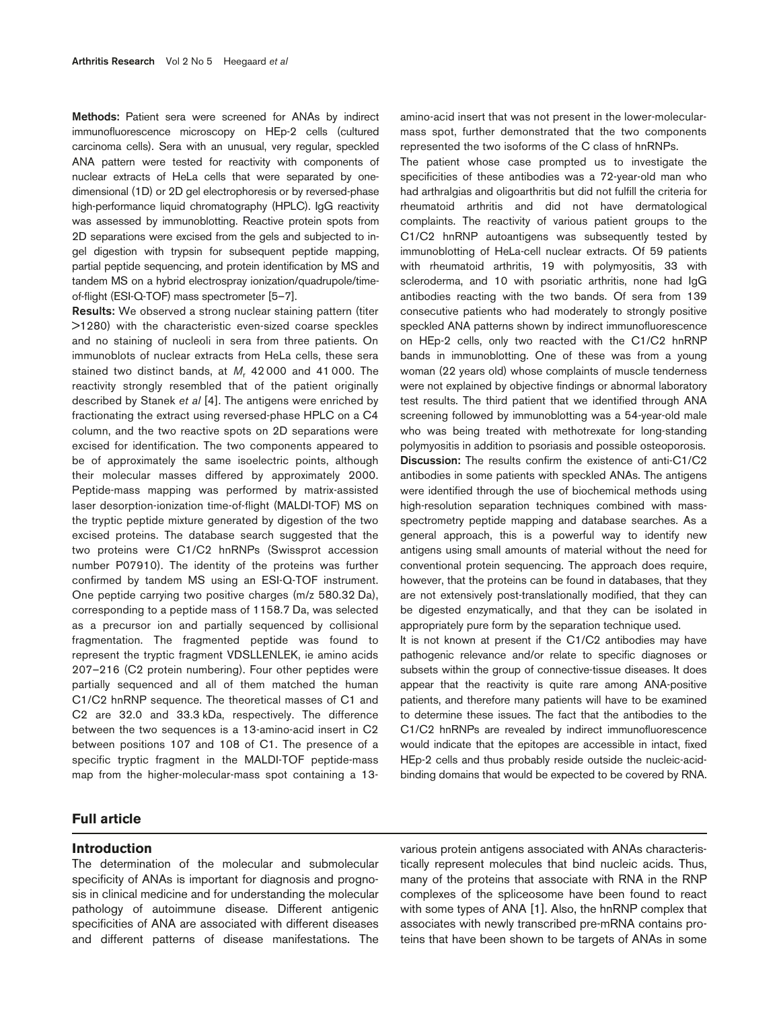**Methods:** Patient sera were screened for ANAs by indirect immunofluorescence microscopy on HEp-2 cells (cultured carcinoma cells). Sera with an unusual, very regular, speckled ANA pattern were tested for reactivity with components of nuclear extracts of HeLa cells that were separated by onedimensional (1D) or 2D gel electrophoresis or by reversed-phase high-performance liquid chromatography (HPLC). IgG reactivity was assessed by immunoblotting. Reactive protein spots from 2D separations were excised from the gels and subjected to ingel digestion with trypsin for subsequent peptide mapping, partial peptide sequencing, and protein identification by MS and tandem MS on a hybrid electrospray ionization/quadrupole/timeof-flight (ESI-Q-TOF) mass spectrometer [5–7].

**Results:** We observed a strong nuclear staining pattern (titer >1280) with the characteristic even-sized coarse speckles and no staining of nucleoli in sera from three patients. On immunoblots of nuclear extracts from HeLa cells, these sera stained two distinct bands, at *M*, 42000 and 41000. The reactivity strongly resembled that of the patient originally described by Stanek *et al* [4]. The antigens were enriched by fractionating the extract using reversed-phase HPLC on a C4 column, and the two reactive spots on 2D separations were excised for identification. The two components appeared to be of approximately the same isoelectric points, although their molecular masses differed by approximately 2000. Peptide-mass mapping was performed by matrix-assisted laser desorption-ionization time-of-flight (MALDI-TOF) MS on the tryptic peptide mixture generated by digestion of the two excised proteins. The database search suggested that the two proteins were C1/C2 hnRNPs (Swissprot accession number P07910). The identity of the proteins was further confirmed by tandem MS using an ESI-Q-TOF instrument. One peptide carrying two positive charges (m/z 580.32 Da), corresponding to a peptide mass of 1158.7 Da, was selected as a precursor ion and partially sequenced by collisional fragmentation. The fragmented peptide was found to represent the tryptic fragment VDSLLENLEK, ie amino acids 207–216 (C2 protein numbering). Four other peptides were partially sequenced and all of them matched the human C1/C2 hnRNP sequence. The theoretical masses of C1 and C2 are 32.0 and 33.3 kDa, respectively. The difference between the two sequences is a 13-amino-acid insert in C2 between positions 107 and 108 of C1. The presence of a specific tryptic fragment in the MALDI-TOF peptide-mass map from the higher-molecular-mass spot containing a 13-

# **Full article**

## **Introduction**

The determination of the molecular and submolecular specificity of ANAs is important for diagnosis and prognosis in clinical medicine and for understanding the molecular pathology of autoimmune disease. Different antigenic specificities of ANA are associated with different diseases and different patterns of disease manifestations. The

amino-acid insert that was not present in the lower-molecularmass spot, further demonstrated that the two components represented the two isoforms of the C class of hnRNPs.

The patient whose case prompted us to investigate the specificities of these antibodies was a 72-year-old man who had arthralgias and oligoarthritis but did not fulfill the criteria for rheumatoid arthritis and did not have dermatological complaints. The reactivity of various patient groups to the C1/C2 hnRNP autoantigens was subsequently tested by immunoblotting of HeLa-cell nuclear extracts. Of 59 patients with rheumatoid arthritis, 19 with polymyositis, 33 with scleroderma, and 10 with psoriatic arthritis, none had IgG antibodies reacting with the two bands. Of sera from 139 consecutive patients who had moderately to strongly positive speckled ANA patterns shown by indirect immunofluorescence on HEp-2 cells, only two reacted with the C1/C2 hnRNP bands in immunoblotting. One of these was from a young woman (22 years old) whose complaints of muscle tenderness were not explained by objective findings or abnormal laboratory test results. The third patient that we identified through ANA screening followed by immunoblotting was a 54-year-old male who was being treated with methotrexate for long-standing polymyositis in addition to psoriasis and possible osteoporosis. **Discussion:** The results confirm the existence of anti-C1/C2 antibodies in some patients with speckled ANAs. The antigens were identified through the use of biochemical methods using high-resolution separation techniques combined with massspectrometry peptide mapping and database searches. As a general approach, this is a powerful way to identify new antigens using small amounts of material without the need for conventional protein sequencing. The approach does require, however, that the proteins can be found in databases, that they are not extensively post-translationally modified, that they can be digested enzymatically, and that they can be isolated in appropriately pure form by the separation technique used.

It is not known at present if the C1/C2 antibodies may have pathogenic relevance and/or relate to specific diagnoses or subsets within the group of connective-tissue diseases. It does appear that the reactivity is quite rare among ANA-positive patients, and therefore many patients will have to be examined to determine these issues. The fact that the antibodies to the C1/C2 hnRNPs are revealed by indirect immunofluorescence would indicate that the epitopes are accessible in intact, fixed HEp-2 cells and thus probably reside outside the nucleic-acidbinding domains that would be expected to be covered by RNA.

various protein antigens associated with ANAs characteristically represent molecules that bind nucleic acids. Thus, many of the proteins that associate with RNA in the RNP complexes of the spliceosome have been found to react with some types of ANA [1]. Also, the hnRNP complex that associates with newly transcribed pre-mRNA contains proteins that have been shown to be targets of ANAs in some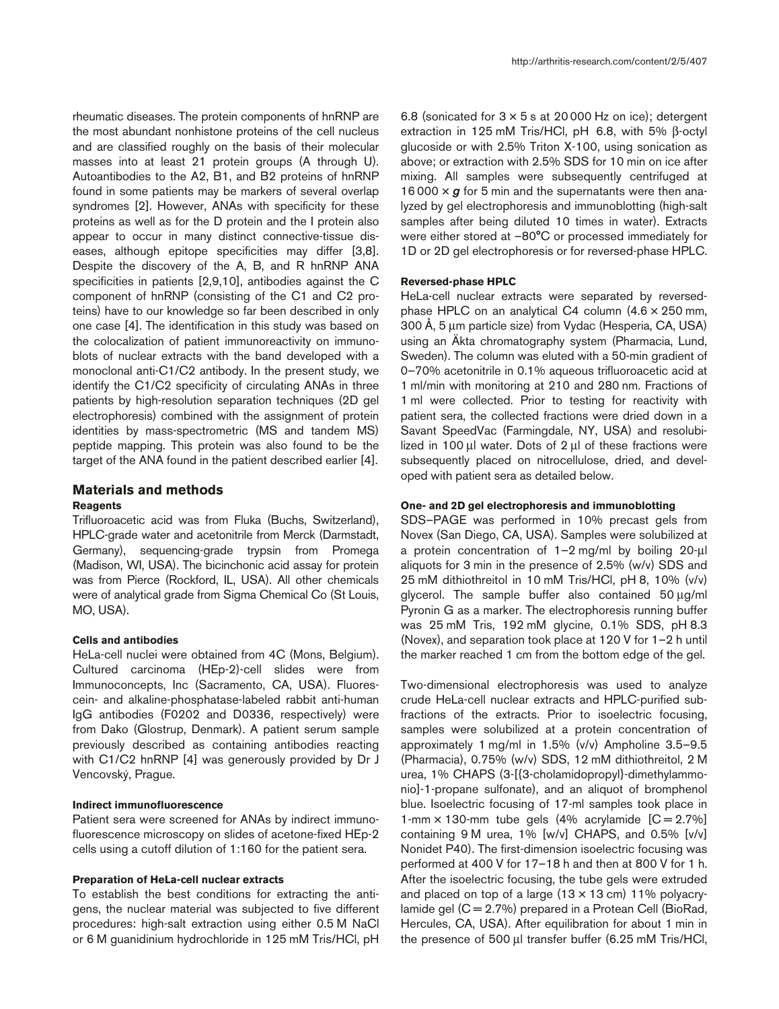rheumatic diseases. The protein components of hnRNP are the most abundant nonhistone proteins of the cell nucleus and are classified roughly on the basis of their molecular masses into at least 21 protein groups (A through U). Autoantibodies to the A2, B1, and B2 proteins of hnRNP found in some patients may be markers of several overlap syndromes [2]. However, ANAs with specificity for these proteins as well as for the D protein and the I protein also appear to occur in many distinct connective-tissue diseases, although epitope specificities may differ [3,8]. Despite the discovery of the A, B, and R hnRNP ANA specificities in patients [2,9,10], antibodies against the C component of hnRNP (consisting of the C1 and C2 proteins) have to our knowledge so far been described in only one case [4]. The identification in this study was based on the colocalization of patient immunoreactivity on immunoblots of nuclear extracts with the band developed with a monoclonal anti-C1/C2 antibody. In the present study, we identify the C1/C2 specificity of circulating ANAs in three patients by high-resolution separation techniques (2D gel electrophoresis) combined with the assignment of protein identities by mass-spectrometric (MS and tandem MS) peptide mapping. This protein was also found to be the target of the ANA found in the patient described earlier [4].

# **Materials and methods**

## **Reagents**

Trifluoroacetic acid was from Fluka (Buchs, Switzerland), HPLC-grade water and acetonitrile from Merck (Darmstadt, Germany), sequencing-grade trypsin from Promega (Madison, WI, USA). The bicinchonic acid assay for protein was from Pierce (Rockford, IL, USA). All other chemicals were of analytical grade from Sigma Chemical Co (St Louis, MO, USA).

## **Cells and antibodies**

HeLa-cell nuclei were obtained from 4C (Mons, Belgium). Cultured carcinoma (HEp-2)-cell slides were from Immunoconcepts, Inc (Sacramento, CA, USA). Fluorescein- and alkaline-phosphatase-labeled rabbit anti-human IgG antibodies (F0202 and D0336, respectively) were from Dako (Glostrup, Denmark). A patient serum sample previously described as containing antibodies reacting with C1/C2 hnRNP [4] was generously provided by Dr J Vencovský, Prague.

#### **Indirect immunofluorescence**

Patient sera were screened for ANAs by indirect immunofluorescence microscopy on slides of acetone-fixed HEp-2 cells using a cutoff dilution of 1:160 for the patient sera.

## **Preparation of HeLa-cell nuclear extracts**

To establish the best conditions for extracting the antigens, the nuclear material was subjected to five different procedures: high-salt extraction using either 0.5 M NaCl or 6 M guanidinium hydrochloride in 125 mM Tris/HCl, pH 6.8 (sonicated for  $3 \times 5$  s at 20 000 Hz on ice); detergent extraction in 125 mM Tris/HCl, pH 6.8, with 5% β-octyl glucoside or with 2.5% Triton X-100, using sonication as above; or extraction with 2.5% SDS for 10 min on ice after mixing. All samples were subsequently centrifuged at 16 000 × *g* for 5 min and the supernatants were then analyzed by gel electrophoresis and immunoblotting (high-salt samples after being diluted 10 times in water). Extracts were either stored at –80°C or processed immediately for 1D or 2D gel electrophoresis or for reversed-phase HPLC.

#### **Reversed-phase HPLC**

HeLa-cell nuclear extracts were separated by reversedphase HPLC on an analytical C4 column (4.6 × 250 mm, 300 Å, 5 µm particle size) from Vydac (Hesperia, CA, USA) using an Äkta chromatography system (Pharmacia, Lund, Sweden). The column was eluted with a 50-min gradient of 0–70% acetonitrile in 0.1% aqueous trifluoroacetic acid at 1 ml/min with monitoring at 210 and 280 nm. Fractions of 1 ml were collected. Prior to testing for reactivity with patient sera, the collected fractions were dried down in a Savant SpeedVac (Farmingdale, NY, USA) and resolubilized in 100  $\mu$ l water. Dots of 2  $\mu$ l of these fractions were subsequently placed on nitrocellulose, dried, and developed with patient sera as detailed below.

## **One- and 2D gel electrophoresis and immunoblotting**

SDS–PAGE was performed in 10% precast gels from Novex (San Diego, CA, USA). Samples were solubilized at a protein concentration of 1–2 mg/ml by boiling 20-µl aliquots for 3 min in the presence of 2.5% (w/v) SDS and 25 mM dithiothreitol in 10 mM Tris/HCl, pH 8, 10% (v/v) glycerol. The sample buffer also contained 50 µg/ml Pyronin G as a marker. The electrophoresis running buffer was 25 mM Tris, 192 mM glycine, 0.1% SDS, pH 8.3 (Novex), and separation took place at 120 V for 1–2 h until the marker reached 1 cm from the bottom edge of the gel.

Two-dimensional electrophoresis was used to analyze crude HeLa-cell nuclear extracts and HPLC-purified subfractions of the extracts. Prior to isoelectric focusing, samples were solubilized at a protein concentration of approximately 1 mg/ml in 1.5% (v/v) Ampholine 3.5–9.5 (Pharmacia), 0.75% (w/v) SDS, 12 mM dithiothreitol, 2 M urea, 1% CHAPS (3-[{3-cholamidopropyl}-dimethylammonio]-1-propane sulfonate), and an aliquot of bromphenol blue. Isoelectric focusing of 17-ml samples took place in 1-mm  $\times$  130-mm tube gels (4% acrylamide  $[C = 2.7\%]$ containing 9 M urea, 1% [w/v] CHAPS, and 0.5% [v/v] Nonidet P40). The first-dimension isoelectric focusing was performed at 400 V for 17–18 h and then at 800 V for 1 h. After the isoelectric focusing, the tube gels were extruded and placed on top of a large  $(13 \times 13 \text{ cm})$  11% polyacrylamide gel (C = 2.7%) prepared in a Protean Cell (BioRad, Hercules, CA, USA). After equilibration for about 1 min in the presence of 500 µl transfer buffer (6.25 mM Tris/HCl,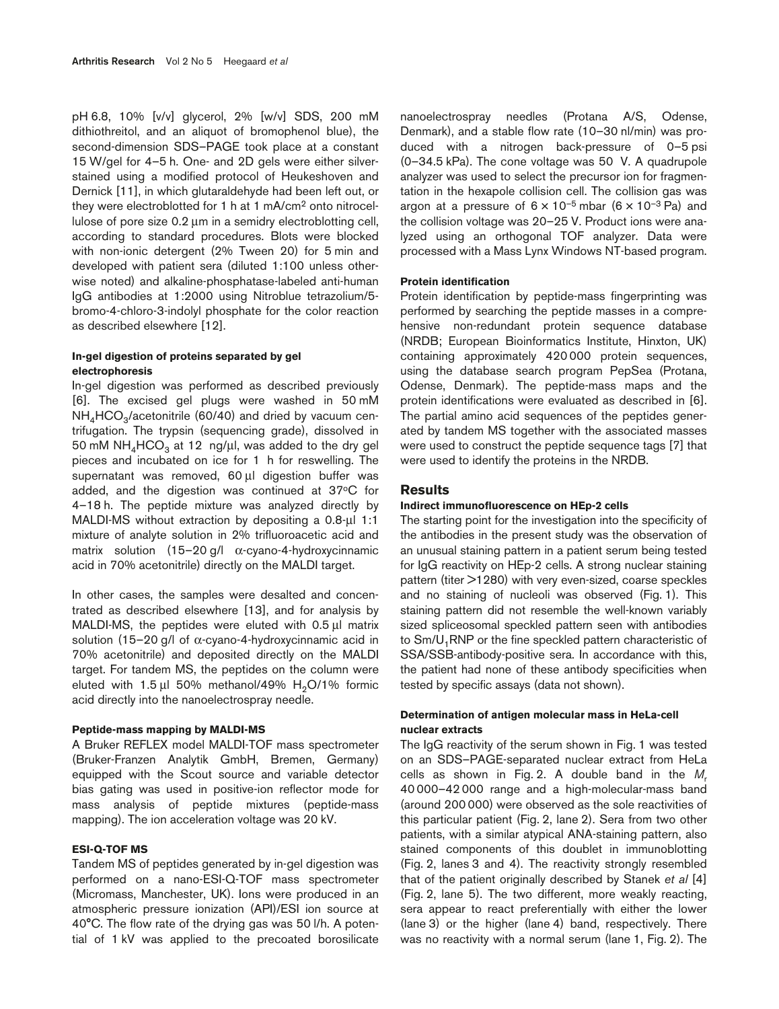pH 6.8, 10% [v/v] glycerol, 2% [w/v] SDS, 200 mM dithiothreitol, and an aliquot of bromophenol blue), the second-dimension SDS–PAGE took place at a constant 15 W/gel for 4–5 h. One- and 2D gels were either silverstained using a modified protocol of Heukeshoven and Dernick [11], in which glutaraldehyde had been left out, or they were electroblotted for 1 h at 1 mA/cm2 onto nitrocellulose of pore size 0.2 µm in a semidry electroblotting cell, according to standard procedures. Blots were blocked with non-ionic detergent (2% Tween 20) for 5 min and developed with patient sera (diluted 1:100 unless otherwise noted) and alkaline-phosphatase-labeled anti-human IgG antibodies at 1:2000 using Nitroblue tetrazolium/5 bromo-4-chloro-3-indolyl phosphate for the color reaction as described elsewhere [12].

## **In-gel digestion of proteins separated by gel electrophoresis**

In-gel digestion was performed as described previously [6]. The excised gel plugs were washed in 50 mM  $NH<sub>4</sub>HCO<sub>3</sub>/acetonitrile (60/40)$  and dried by vacuum centrifugation. The trypsin (sequencing grade), dissolved in 50 mM  $NH_4HCO_3$  at 12 ng/µl, was added to the dry gel pieces and incubated on ice for 1 h for reswelling. The supernatant was removed, 60 µl digestion buffer was added, and the digestion was continued at 37°C for 4–18 h. The peptide mixture was analyzed directly by MALDI-MS without extraction by depositing a 0.8-µl 1:1 mixture of analyte solution in 2% trifluoroacetic acid and matrix solution  $(15-20 \text{ g/l} \ \alpha\text{-cyano-4-hydroxycinnamic})$ acid in 70% acetonitrile) directly on the MALDI target.

In other cases, the samples were desalted and concentrated as described elsewhere [13], and for analysis by MALDI-MS, the peptides were eluted with 0.5 µl matrix solution (15–20 g/l of α-cyano-4-hydroxycinnamic acid in 70% acetonitrile) and deposited directly on the MALDI target. For tandem MS, the peptides on the column were eluted with  $1.5 \mu$  50% methanol/49% H<sub>2</sub>O/1% formic acid directly into the nanoelectrospray needle.

## **Peptide-mass mapping by MALDI-MS**

A Bruker REFLEX model MALDI-TOF mass spectrometer (Bruker-Franzen Analytik GmbH, Bremen, Germany) equipped with the Scout source and variable detector bias gating was used in positive-ion reflector mode for mass analysis of peptide mixtures (peptide-mass mapping). The ion acceleration voltage was 20 kV.

#### **ESI-Q-TOF MS**

Tandem MS of peptides generated by in-gel digestion was performed on a nano-ESI-Q-TOF mass spectrometer (Micromass, Manchester, UK). Ions were produced in an atmospheric pressure ionization (API)/ESI ion source at 40°C. The flow rate of the drying gas was 50 l/h. A potential of 1 kV was applied to the precoated borosilicate nanoelectrospray needles (Protana A/S, Odense, Denmark), and a stable flow rate (10–30 nl/min) was produced with a nitrogen back-pressure of 0–5 psi (0–34.5 kPa). The cone voltage was 50 V. A quadrupole analyzer was used to select the precursor ion for fragmentation in the hexapole collision cell. The collision gas was argon at a pressure of  $6 \times 10^{-5}$  mbar  $(6 \times 10^{-3}$  Pa) and the collision voltage was 20–25 V. Product ions were analyzed using an orthogonal TOF analyzer. Data were processed with a Mass Lynx Windows NT-based program.

#### **Protein identification**

Protein identification by peptide-mass fingerprinting was performed by searching the peptide masses in a comprehensive non-redundant protein sequence database (NRDB; European Bioinformatics Institute, Hinxton, UK) containing approximately 420 000 protein sequences, using the database search program PepSea (Protana, Odense, Denmark). The peptide-mass maps and the protein identifications were evaluated as described in [6]. The partial amino acid sequences of the peptides generated by tandem MS together with the associated masses were used to construct the peptide sequence tags [7] that were used to identify the proteins in the NRDB.

### **Results**

#### **Indirect immunofluorescence on HEp-2 cells**

The starting point for the investigation into the specificity of the antibodies in the present study was the observation of an unusual staining pattern in a patient serum being tested for IgG reactivity on HEp-2 cells. A strong nuclear staining pattern (titer >1280) with very even-sized, coarse speckles and no staining of nucleoli was observed (Fig. 1). This staining pattern did not resemble the well-known variably sized spliceosomal speckled pattern seen with antibodies to Sm/U<sub>1</sub>RNP or the fine speckled pattern characteristic of SSA/SSB-antibody-positive sera. In accordance with this, the patient had none of these antibody specificities when tested by specific assays (data not shown).

### **Determination of antigen molecular mass in HeLa-cell nuclear extracts**

The IgG reactivity of the serum shown in Fig. 1 was tested on an SDS–PAGE-separated nuclear extract from HeLa cells as shown in Fig. 2. A double band in the *M*<sup>r</sup> 40 000–42 000 range and a high-molecular-mass band (around 200 000) were observed as the sole reactivities of this particular patient (Fig. 2, lane 2). Sera from two other patients, with a similar atypical ANA-staining pattern, also stained components of this doublet in immunoblotting (Fig. 2, lanes 3 and 4). The reactivity strongly resembled that of the patient originally described by Stanek *et al* [4] (Fig. 2, lane 5). The two different, more weakly reacting, sera appear to react preferentially with either the lower (lane 3) or the higher (lane 4) band, respectively. There was no reactivity with a normal serum (lane 1, Fig. 2). The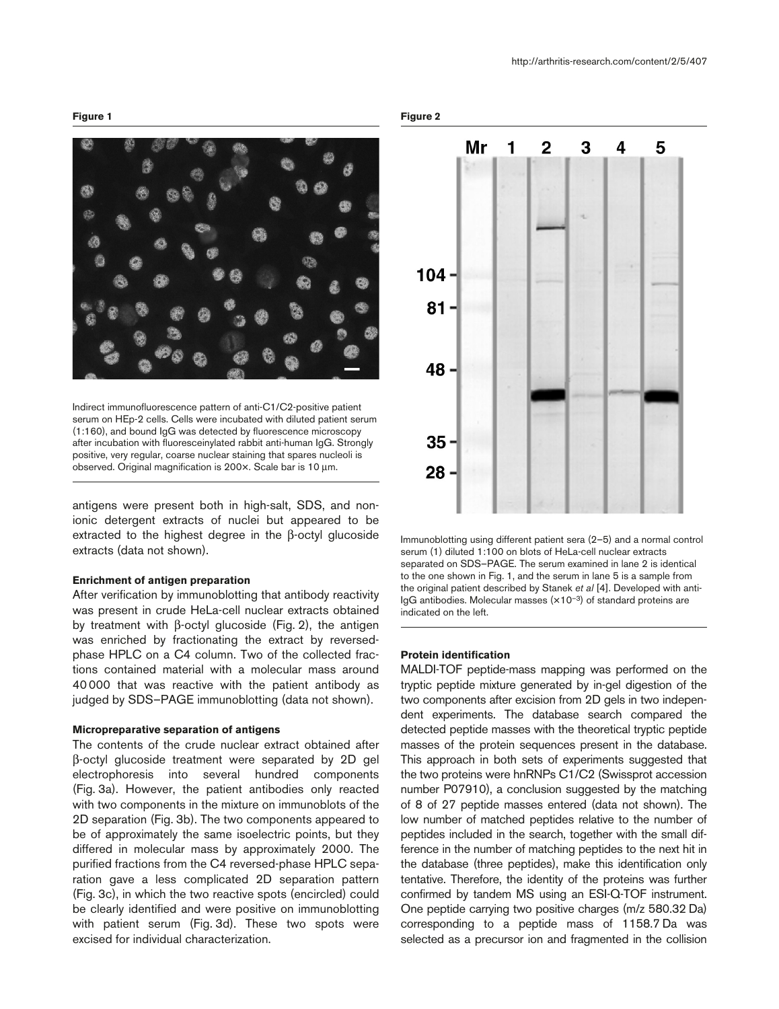http://arthritis-research.com/content/2/5/407

#### **Figure 1**



Indirect immunofluorescence pattern of anti-C1/C2-positive patient serum on HEp-2 cells. Cells were incubated with diluted patient serum (1:160), and bound IgG was detected by fluorescence microscopy after incubation with fluoresceinylated rabbit anti-human IgG. Strongly positive, very regular, coarse nuclear staining that spares nucleoli is observed. Original magnification is 200×. Scale bar is 10 µm.

antigens were present both in high-salt, SDS, and nonionic detergent extracts of nuclei but appeared to be extracted to the highest degree in the β-octyl glucoside extracts (data not shown).

#### **Enrichment of antigen preparation**

After verification by immunoblotting that antibody reactivity was present in crude HeLa-cell nuclear extracts obtained by treatment with β-octyl glucoside (Fig. 2), the antigen was enriched by fractionating the extract by reversedphase HPLC on a C4 column. Two of the collected fractions contained material with a molecular mass around 40 000 that was reactive with the patient antibody as judged by SDS–PAGE immunoblotting (data not shown).

#### **Micropreparative separation of antigens**

The contents of the crude nuclear extract obtained after β-octyl glucoside treatment were separated by 2D gel electrophoresis into several hundred components (Fig. 3a). However, the patient antibodies only reacted with two components in the mixture on immunoblots of the 2D separation (Fig. 3b). The two components appeared to be of approximately the same isoelectric points, but they differed in molecular mass by approximately 2000. The purified fractions from the C4 reversed-phase HPLC separation gave a less complicated 2D separation pattern (Fig. 3c), in which the two reactive spots (encircled) could be clearly identified and were positive on immunoblotting with patient serum (Fig. 3d). These two spots were excised for individual characterization.

**Figure 2**



Immunoblotting using different patient sera (2–5) and a normal control serum (1) diluted 1:100 on blots of HeLa-cell nuclear extracts separated on SDS–PAGE. The serum examined in lane 2 is identical to the one shown in Fig. 1, and the serum in lane 5 is a sample from the original patient described by Stanek *et al* [4]. Developed with anti- $IqG$  antibodies. Molecular masses  $(x10^{-3})$  of standard proteins are indicated on the left.

#### **Protein identification**

MALDI-TOF peptide-mass mapping was performed on the tryptic peptide mixture generated by in-gel digestion of the two components after excision from 2D gels in two independent experiments. The database search compared the detected peptide masses with the theoretical tryptic peptide masses of the protein sequences present in the database. This approach in both sets of experiments suggested that the two proteins were hnRNPs C1/C2 (Swissprot accession number P07910), a conclusion suggested by the matching of 8 of 27 peptide masses entered (data not shown). The low number of matched peptides relative to the number of peptides included in the search, together with the small difference in the number of matching peptides to the next hit in the database (three peptides), make this identification only tentative. Therefore, the identity of the proteins was further confirmed by tandem MS using an ESI-Q-TOF instrument. One peptide carrying two positive charges (m/z 580.32 Da) corresponding to a peptide mass of 1158.7 Da was selected as a precursor ion and fragmented in the collision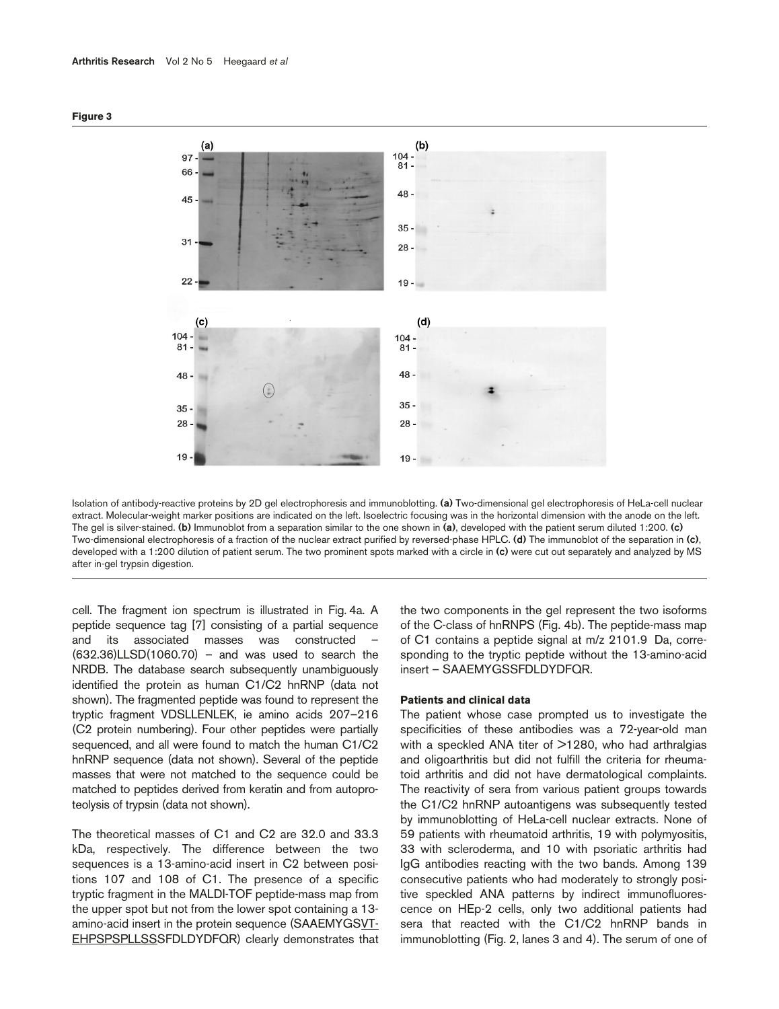



Isolation of antibody-reactive proteins by 2D gel electrophoresis and immunoblotting. **(a)** Two-dimensional gel electrophoresis of HeLa-cell nuclear extract. Molecular-weight marker positions are indicated on the left. Isoelectric focusing was in the horizontal dimension with the anode on the left. The gel is silver-stained. **(b)** Immunoblot from a separation similar to the one shown in **(a)**, developed with the patient serum diluted 1:200. **(c)** Two-dimensional electrophoresis of a fraction of the nuclear extract purified by reversed-phase HPLC. **(d)** The immunoblot of the separation in **(c)**, developed with a 1:200 dilution of patient serum. The two prominent spots marked with a circle in **(c)** were cut out separately and analyzed by MS after in-gel trypsin digestion.

cell. The fragment ion spectrum is illustrated in Fig. 4a. A peptide sequence tag [7] consisting of a partial sequence and its associated masses was constructed –  $(632.36)$ LLSD $(1060.70)$  – and was used to search the NRDB. The database search subsequently unambiguously identified the protein as human C1/C2 hnRNP (data not shown). The fragmented peptide was found to represent the tryptic fragment VDSLLENLEK, ie amino acids 207–216 (C2 protein numbering). Four other peptides were partially sequenced, and all were found to match the human C1/C2 hnRNP sequence (data not shown). Several of the peptide masses that were not matched to the sequence could be matched to peptides derived from keratin and from autoproteolysis of trypsin (data not shown).

The theoretical masses of C1 and C2 are 32.0 and 33.3 kDa, respectively. The difference between the two sequences is a 13-amino-acid insert in C2 between positions 107 and 108 of C1. The presence of a specific tryptic fragment in the MALDI-TOF peptide-mass map from the upper spot but not from the lower spot containing a 13 amino-acid insert in the protein sequence (SAAEMYGSVT-EHPSPSPLLSSSFDLDYDFQR) clearly demonstrates that the two components in the gel represent the two isoforms of the C-class of hnRNPS (Fig. 4b). The peptide-mass map of C1 contains a peptide signal at m/z 2101.9 Da, corresponding to the tryptic peptide without the 13-amino-acid insert – SAAEMYGSSFDLDYDFQR.

#### **Patients and clinical data**

The patient whose case prompted us to investigate the specificities of these antibodies was a 72-year-old man with a speckled ANA titer of >1280, who had arthralgias and oligoarthritis but did not fulfill the criteria for rheumatoid arthritis and did not have dermatological complaints. The reactivity of sera from various patient groups towards the C1/C2 hnRNP autoantigens was subsequently tested by immunoblotting of HeLa-cell nuclear extracts. None of 59 patients with rheumatoid arthritis, 19 with polymyositis, 33 with scleroderma, and 10 with psoriatic arthritis had IgG antibodies reacting with the two bands. Among 139 consecutive patients who had moderately to strongly positive speckled ANA patterns by indirect immunofluorescence on HEp-2 cells, only two additional patients had sera that reacted with the C1/C2 hnRNP bands in immunoblotting (Fig. 2, lanes 3 and 4). The serum of one of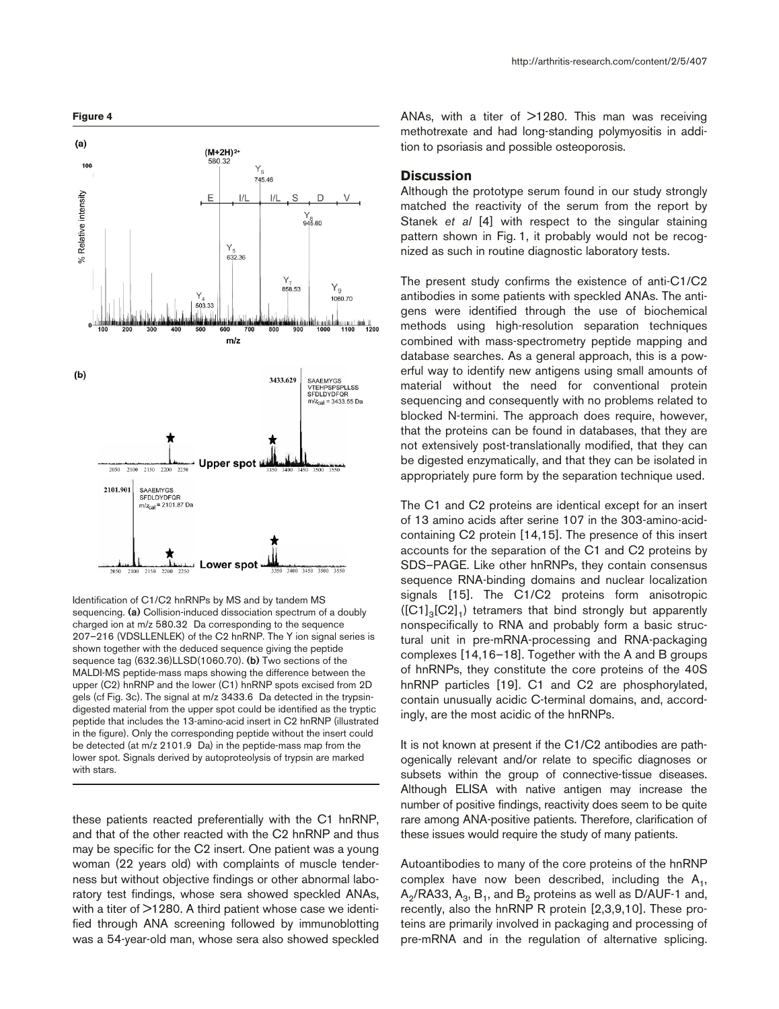

Identification of C1/C2 hnRNPs by MS and by tandem MS sequencing. **(a)** Collision-induced dissociation spectrum of a doubly charged ion at m/z 580.32 Da corresponding to the sequence 207–216 (VDSLLENLEK) of the C2 hnRNP. The Y ion signal series is shown together with the deduced sequence giving the peptide sequence tag (632.36)LLSD(1060.70). **(b)** Two sections of the MALDI-MS peptide-mass maps showing the difference between the upper (C2) hnRNP and the lower (C1) hnRNP spots excised from 2D gels (cf Fig. 3c). The signal at m/z 3433.6 Da detected in the trypsindigested material from the upper spot could be identified as the tryptic peptide that includes the 13-amino-acid insert in C2 hnRNP (illustrated in the figure). Only the corresponding peptide without the insert could be detected (at m/z 2101.9 Da) in the peptide-mass map from the lower spot. Signals derived by autoproteolysis of trypsin are marked with stars.

these patients reacted preferentially with the C1 hnRNP, and that of the other reacted with the C2 hnRNP and thus may be specific for the C2 insert. One patient was a young woman (22 years old) with complaints of muscle tenderness but without objective findings or other abnormal laboratory test findings, whose sera showed speckled ANAs, with a titer of  $>1280$ . A third patient whose case we identified through ANA screening followed by immunoblotting was a 54-year-old man, whose sera also showed speckled ANAs, with a titer of  $>1280$ . This man was receiving methotrexate and had long-standing polymyositis in addition to psoriasis and possible osteoporosis.

## **Discussion**

Although the prototype serum found in our study strongly matched the reactivity of the serum from the report by Stanek *et al* [4] with respect to the singular staining pattern shown in Fig. 1, it probably would not be recognized as such in routine diagnostic laboratory tests.

The present study confirms the existence of anti-C1/C2 antibodies in some patients with speckled ANAs. The antigens were identified through the use of biochemical methods using high-resolution separation techniques combined with mass-spectrometry peptide mapping and database searches. As a general approach, this is a powerful way to identify new antigens using small amounts of material without the need for conventional protein sequencing and consequently with no problems related to blocked N-termini. The approach does require, however, that the proteins can be found in databases, that they are not extensively post-translationally modified, that they can be digested enzymatically, and that they can be isolated in appropriately pure form by the separation technique used.

The C1 and C2 proteins are identical except for an insert of 13 amino acids after serine 107 in the 303-amino-acidcontaining C2 protein [14,15]. The presence of this insert accounts for the separation of the C1 and C2 proteins by SDS–PAGE. Like other hnRNPs, they contain consensus sequence RNA-binding domains and nuclear localization signals [15]. The C1/C2 proteins form anisotropic  $([C1]_{3}[C2]_{1})$  tetramers that bind strongly but apparently nonspecifically to RNA and probably form a basic structural unit in pre-mRNA-processing and RNA-packaging complexes [14,16–18]. Together with the A and B groups of hnRNPs, they constitute the core proteins of the 40S hnRNP particles [19]. C1 and C2 are phosphorylated, contain unusually acidic C-terminal domains, and, accordingly, are the most acidic of the hnRNPs.

It is not known at present if the C1/C2 antibodies are pathogenically relevant and/or relate to specific diagnoses or subsets within the group of connective-tissue diseases. Although ELISA with native antigen may increase the number of positive findings, reactivity does seem to be quite rare among ANA-positive patients. Therefore, clarification of these issues would require the study of many patients.

Autoantibodies to many of the core proteins of the hnRNP complex have now been described, including the  $A_1$ ,  $A_2/RA$ 33,  $A_3$ ,  $B_1$ , and  $B_2$  proteins as well as D/AUF-1 and, recently, also the hnRNP R protein [2,3,9,10]. These proteins are primarily involved in packaging and processing of pre-mRNA and in the regulation of alternative splicing.